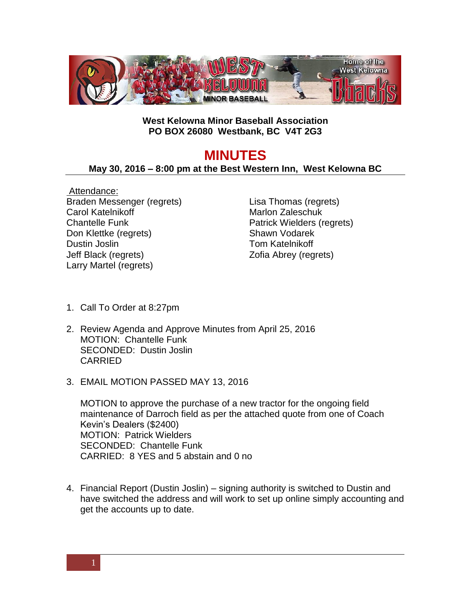

## **West Kelowna Minor Baseball Association PO BOX 26080 Westbank, BC V4T 2G3**

## **MINUTES**

## **May 30, 2016 – 8:00 pm at the Best Western Inn, West Kelowna BC**

Attendance: Braden Messenger (regrets) Carol Katelnikoff Chantelle Funk Don Klettke (regrets) Dustin Joslin Jeff Black (regrets) Larry Martel (regrets)

Lisa Thomas (regrets) Marlon Zaleschuk Patrick Wielders (regrets) Shawn Vodarek Tom Katelnikoff Zofia Abrey (regrets)

- 1. Call To Order at 8:27pm
- 2. Review Agenda and Approve Minutes from April 25, 2016 MOTION: Chantelle Funk SECONDED: Dustin Joslin CARRIED
- 3. EMAIL MOTION PASSED MAY 13, 2016

MOTION to approve the purchase of a new tractor for the ongoing field maintenance of Darroch field as per the attached quote from one of Coach Kevin's Dealers (\$2400) MOTION: Patrick Wielders SECONDED: Chantelle Funk CARRIED: 8 YES and 5 abstain and 0 no

4. Financial Report (Dustin Joslin) – signing authority is switched to Dustin and have switched the address and will work to set up online simply accounting and get the accounts up to date.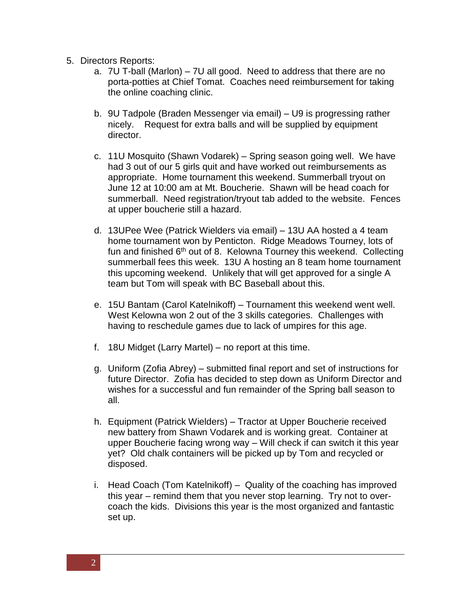- 5. Directors Reports:
	- a. 7U T-ball (Marlon) 7U all good. Need to address that there are no porta-potties at Chief Tomat. Coaches need reimbursement for taking the online coaching clinic.
	- b. 9U Tadpole (Braden Messenger via email) U9 is progressing rather nicely. Request for extra balls and will be supplied by equipment director.
	- c. 11U Mosquito (Shawn Vodarek) Spring season going well. We have had 3 out of our 5 girls quit and have worked out reimbursements as appropriate. Home tournament this weekend. Summerball tryout on June 12 at 10:00 am at Mt. Boucherie. Shawn will be head coach for summerball. Need registration/tryout tab added to the website. Fences at upper boucherie still a hazard.
	- d. 13UPee Wee (Patrick Wielders via email) 13U AA hosted a 4 team home tournament won by Penticton. Ridge Meadows Tourney, lots of fun and finished  $6<sup>th</sup>$  out of 8. Kelowna Tourney this weekend. Collecting summerball fees this week. 13U A hosting an 8 team home tournament this upcoming weekend. Unlikely that will get approved for a single A team but Tom will speak with BC Baseball about this.
	- e. 15U Bantam (Carol Katelnikoff) Tournament this weekend went well. West Kelowna won 2 out of the 3 skills categories. Challenges with having to reschedule games due to lack of umpires for this age.
	- f. 18U Midget (Larry Martel) no report at this time.
	- g. Uniform (Zofia Abrey) submitted final report and set of instructions for future Director. Zofia has decided to step down as Uniform Director and wishes for a successful and fun remainder of the Spring ball season to all.
	- h. Equipment (Patrick Wielders) Tractor at Upper Boucherie received new battery from Shawn Vodarek and is working great. Container at upper Boucherie facing wrong way – Will check if can switch it this year yet? Old chalk containers will be picked up by Tom and recycled or disposed.
	- i. Head Coach (Tom Katelnikoff) Quality of the coaching has improved this year – remind them that you never stop learning. Try not to overcoach the kids. Divisions this year is the most organized and fantastic set up.